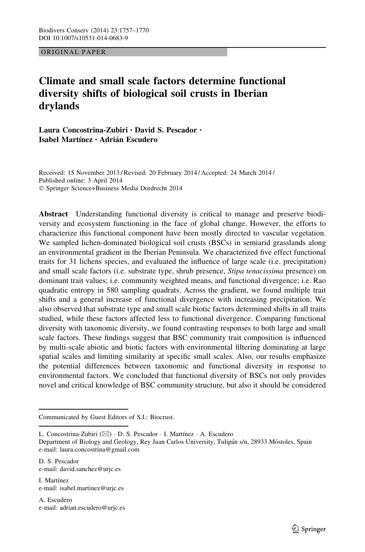ORIGINAL PAPER

# Climate and small scale factors determine functional diversity shifts of biological soil crusts in Iberian drylands

Laura Concostrina-Zubiri • David S. Pescador • Isabel Martínez • Adrián Escudero

Received: 15 November 2013 / Revised: 20 February 2014 / Accepted: 24 March 2014 / Published online: 3 April 2014 - Springer Science+Business Media Dordrecht 2014

Abstract Understanding functional diversity is critical to manage and preserve biodiversity and ecosystem functioning in the face of global change. However, the efforts to characterize this functional component have been mostly directed to vascular vegetation. We sampled lichen-dominated biological soil crusts (BSCs) in semiarid grasslands along an environmental gradient in the Iberian Peninsula. We characterized five effect functional traits for 31 lichens species, and evaluated the influence of large scale (i.e. precipitation) and small scale factors (i.e. substrate type, shrub presence, Stipa tenacissima presence) on dominant trait values; i.e. community weighted means, and functional divergence; i.e. Rao quadratic entropy in 580 sampling quadrats. Across the gradient, we found multiple trait shifts and a general increase of functional divergence with increasing precipitation. We also observed that substrate type and small scale biotic factors determined shifts in all traits studied, while these factors affected less to functional divergence. Comparing functional diversity with taxonomic diversity, we found contrasting responses to both large and small scale factors. These findings suggest that BSC community trait composition is influenced by multi-scale abiotic and biotic factors with environmental filtering dominating at large spatial scales and limiting similarity at specific small scales. Also, our results emphasize the potential differences between taxonomic and functional diversity in response to environmental factors. We concluded that functional diversity of BSCs not only provides novel and critical knowledge of BSC community structure, but also it should be considered

D. S. Pescador e-mail: david.sanchez@urjc.es

I. Martínez e-mail: isabel.martinez@urjc.es

A. Escudero e-mail: adrian.escudero@urjc.es

Communicated by Guest Editors of S.I.: Biocrust.

L. Concostrina-Zubiri (⊠) · D. S. Pescador · I. Martínez · A. Escudero

Department of Biology and Geology, Rey Juan Carlos University, Tulipán s/n, 28933 Móstoles, Spain e-mail: laura.concostrina@gmail.com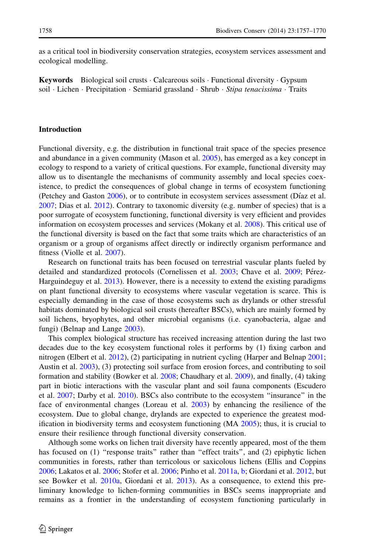as a critical tool in biodiversity conservation strategies, ecosystem services assessment and ecological modelling.

**Keywords** Biological soil crusts  $\cdot$  Calcareous soils  $\cdot$  Functional diversity  $\cdot$  Gypsum soil · Lichen · Precipitation · Semiarid grassland · Shrub · Stipa tenacissima · Traits

## Introduction

Functional diversity, e.g. the distribution in functional trait space of the species presence and abundance in a given community (Mason et al. [2005](#page-12-0)), has emerged as a key concept in ecology to respond to a variety of critical questions. For example, functional diversity may allow us to disentangle the mechanisms of community assembly and local species coexistence, to predict the consequences of global change in terms of ecosystem functioning (Petchey and Gaston [2006\)](#page-12-0), or to contribute in ecosystem services assessment (Díaz et al. [2007;](#page-11-0) Dias et al. [2012](#page-11-0)). Contrary to taxonomic diversity (e.g. number of species) that is a poor surrogate of ecosystem functioning, functional diversity is very efficient and provides information on ecosystem processes and services (Mokany et al. [2008](#page-12-0)). This critical use of the functional diversity is based on the fact that some traits which are characteristics of an organism or a group of organisms affect directly or indirectly organism performance and fitness (Violle et al. [2007\)](#page-13-0).

Research on functional traits has been focused on terrestrial vascular plants fueled by detailed and standardized protocols (Cornelissen et al. [2003](#page-11-0); Chave et al. [2009;](#page-10-0) Pérez-Harguindeguy et al. [2013](#page-12-0)). However, there is a necessity to extend the existing paradigms on plant functional diversity to ecosystems where vascular vegetation is scarce. This is especially demanding in the case of those ecosystems such as drylands or other stressful habitats dominated by biological soil crusts (hereafter BSCs), which are mainly formed by soil lichens, bryophytes, and other microbial organisms (i.e. cyanobacteria, algae and fungi) (Belnap and Lange [2003\)](#page-10-0).

This complex biological structure has received increasing attention during the last two decades due to the key ecosystem functional roles it performs by (1) fixing carbon and nitrogen (Elbert et al. [2012\)](#page-11-0), (2) participating in nutrient cycling (Harper and Belnap [2001;](#page-11-0) Austin et al. [2003\)](#page-10-0), (3) protecting soil surface from erosion forces, and contributing to soil formation and stability (Bowker et al. [2008](#page-10-0); Chaudhary et al. [2009\)](#page-10-0), and finally, (4) taking part in biotic interactions with the vascular plant and soil fauna components (Escudero et al. [2007;](#page-11-0) Darby et al. [2010\)](#page-11-0). BSCs also contribute to the ecosystem ''insurance'' in the face of environmental changes (Loreau et al. [2003](#page-12-0)) by enhancing the resilience of the ecosystem. Due to global change, drylands are expected to experience the greatest modification in biodiversity terms and ecosystem functioning (MA [2005](#page-12-0)); thus, it is crucial to ensure their resilience through functional diversity conservation.

Although some works on lichen trait diversity have recently appeared, most of the them has focused on (1) "response traits" rather than "effect traits", and (2) epiphytic lichen communities in forests, rather than terricolous or saxicolous lichens (Ellis and Coppins [2006;](#page-11-0) Lakatos et al. [2006;](#page-12-0) Stofer et al. [2006;](#page-13-0) Pinho et al. [2011a,](#page-12-0) [b](#page-13-0); Giordani et al. [2012,](#page-11-0) but see Bowker et al. [2010a](#page-10-0), Giordani et al. [2013\)](#page-11-0). As a consequence, to extend this preliminary knowledge to lichen-forming communities in BSCs seems inappropriate and remains as a frontier in the understanding of ecosystem functioning particularly in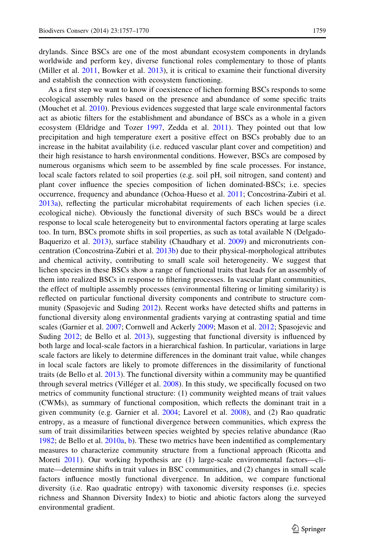drylands. Since BSCs are one of the most abundant ecosystem components in drylands worldwide and perform key, diverse functional roles complementary to those of plants (Miller et al. [2011,](#page-12-0) Bowker et al. [2013\)](#page-10-0), it is critical to examine their functional diversity and establish the connection with ecosystem functioning.

As a first step we want to know if coexistence of lichen forming BSCs responds to some ecological assembly rules based on the presence and abundance of some specific traits (Mouchet et al. [2010](#page-12-0)). Previous evidences suggested that large scale environmental factors act as abiotic filters for the establishment and abundance of BSCs as a whole in a given ecosystem (Eldridge and Tozer [1997,](#page-11-0) Zedda et al. [2011](#page-13-0)). They pointed out that low precipitation and high temperature exert a positive effect on BSCs probably due to an increase in the habitat availability (i.e. reduced vascular plant cover and competition) and their high resistance to harsh environmental conditions. However, BSCs are composed by numerous organisms which seem to be assembled by fine scale processes. For instance, local scale factors related to soil properties (e.g. soil pH, soil nitrogen, sand content) and plant cover influence the species composition of lichen dominated-BSCs; i.e. species occurrence, frequency and abundance (Ochoa-Hueso et al. [2011;](#page-12-0) Concostrina-Zubiri et al. [2013a\)](#page-10-0), reflecting the particular microhabitat requirements of each lichen species (i.e. ecological niche). Obviously the functional diversity of such BSCs would be a direct response to local scale heterogeneity but to environmental factors operating at large scales too. In turn, BSCs promote shifts in soil properties, as such as total available N (Delgado-Baquerizo et al. [2013\)](#page-11-0), surface stability (Chaudhary et al. [2009\)](#page-10-0) and micronutrients concentration (Concostrina-Zubiri et al. [2013b\)](#page-11-0) due to their physical-morphological attributes and chemical activity, contributing to small scale soil heterogeneity. We suggest that lichen species in these BSCs show a range of functional traits that leads for an assembly of them into realized BSCs in response to filtering processes. In vascular plant communities, the effect of multiple assembly processes (environmental filtering or limiting similarity) is reflected on particular functional diversity components and contribute to structure community (Spasojevic and Suding [2012](#page-13-0)). Recent works have detected shifts and patterns in functional diversity along environmental gradients varying at contrasting spatial and time scales (Garnier et al. [2007](#page-11-0); Cornwell and Ackerly [2009](#page-11-0); Mason et al. [2012](#page-12-0); Spasojevic and Suding [2012;](#page-13-0) de Bello et al. [2013\)](#page-11-0), suggesting that functional diversity is influenced by both large and local-scale factors in a hierarchical fashion. In particular, variations in large scale factors are likely to determine differences in the dominant trait value, while changes in local scale factors are likely to promote differences in the dissimilarity of functional traits (de Bello et al. [2013](#page-11-0)). The functional diversity within a community may be quantified through several metrics (Villéger et al. [2008](#page-13-0)). In this study, we specifically focused on two metrics of community functional structure: (1) community weighted means of trait values (CWMs), as summary of functional composition, which reflects the dominant trait in a given community (e.g. Garnier et al. [2004](#page-11-0); Lavorel et al. [2008\)](#page-12-0), and (2) Rao quadratic entropy, as a measure of functional divergence between communities, which express the sum of trait dissimilarities between species weighted by species relative abundance (Rao [1982;](#page-13-0) de Bello et al. [2010a,](#page-11-0) [b](#page-11-0)). These two metrics have been indentified as complementary measures to characterize community structure from a functional approach (Ricotta and Moreti [2011](#page-13-0)). Our working hypothesis are (1) large-scale environmental factors—climate—determine shifts in trait values in BSC communities, and (2) changes in small scale factors influence mostly functional divergence. In addition, we compare functional diversity (i.e. Rao quadratic entropy) with taxonomic diversity responses (i.e. species richness and Shannon Diversity Index) to biotic and abiotic factors along the surveyed environmental gradient.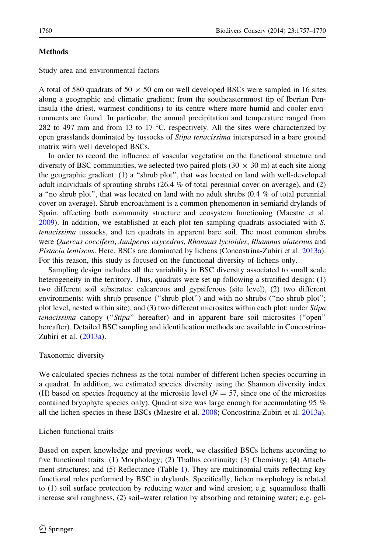# **Methods**

Study area and environmental factors

A total of 580 quadrats of 50  $\times$  50 cm on well developed BSCs were sampled in 16 sites along a geographic and climatic gradient; from the southeasternmost tip of Iberian Peninsula (the driest, warmest conditions) to its centre where more humid and cooler environments are found. In particular, the annual precipitation and temperature ranged from 282 to 497 mm and from 13 to 17  $^{\circ}$ C, respectively. All the sites were characterized by open grasslands dominated by tussocks of Stipa tenacissima interspersed in a bare ground matrix with well developed BSCs.

In order to record the influence of vascular vegetation on the functional structure and diversity of BSC communities, we selected two paired plots  $(30 \times 30 \text{ m})$  at each site along the geographic gradient: (1) a ''shrub plot'', that was located on land with well-developed adult individuals of sprouting shrubs  $(26.4 \%$  of total perennial cover on average), and  $(2)$ a ''no shrub plot'', that was located on land with no adult shrubs (0.4 % of total perennial cover on average). Shrub encroachment is a common phenomenon in semiarid drylands of Spain, affecting both community structure and ecosystem functioning (Maestre et al. [2009\)](#page-12-0). In addition, we established at each plot ten sampling quadrats associated with S. tenacissima tussocks, and ten quadrats in apparent bare soil. The most common shrubs were Quercus coccifera, Juniperus oxycedrus, Rhamnus lycioides, Rhamnus alaternus and Pistacia lentiscus. Here, BSCs are dominated by lichens (Concostrina-Zubiri et al. [2013a](#page-10-0)). For this reason, this study is focused on the functional diversity of lichens only.

Sampling design includes all the variability in BSC diversity associated to small scale heterogeneity in the territory. Thus, quadrats were set up following a stratified design: (1) two different soil substrates: calcareous and gypsiferous (site level), (2) two different environments: with shrub presence ("shrub plot") and with no shrubs ("no shrub plot"; plot level, nested within site), and (3) two different microsites within each plot: under Stipa tenacissima canopy ("Stipa" hereafter) and in apparent bare soil microsites ("open" hereafter). Detailed BSC sampling and identification methods are available in Concostrina-Zubiri et al. [\(2013a](#page-10-0)).

# Taxonomic diversity

We calculated species richness as the total number of different lichen species occurring in a quadrat. In addition, we estimated species diversity using the Shannon diversity index (H) based on species frequency at the microsite level ( $N = 57$ , since one of the microsites contained bryophyte species only). Quadrat size was large enough for accumulating 95 % all the lichen species in these BSCs (Maestre et al. [2008;](#page-12-0) Concostrina-Zubiri et al. [2013a](#page-10-0)).

## Lichen functional traits

Based on expert knowledge and previous work, we classified BSCs lichens according to five functional traits: (1) Morphology; (2) Thallus continuity; (3) Chemistry; (4) Attachment structures; and (5) Reflectance (Table [1](#page-4-0)). They are multinomial traits reflecting key functional roles performed by BSC in drylands. Specifically, lichen morphology is related to (1) soil surface protection by reducing water and wind erosion; e.g. squamulose thalli increase soil roughness, (2) soil–water relation by absorbing and retaining water; e.g. gel-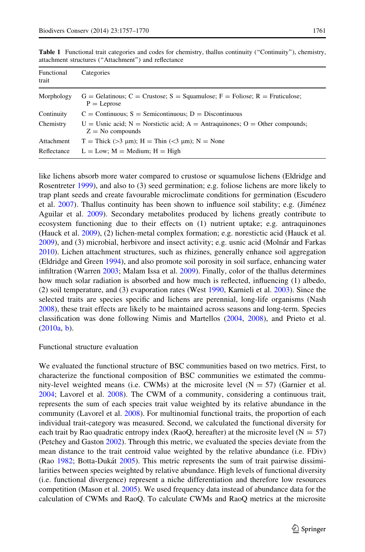| Functional<br>trait | Categories                                                                                                 |
|---------------------|------------------------------------------------------------------------------------------------------------|
| Morphology          | $G =$ Gelatinous; $C =$ Crustose; $S =$ Squamulose; $F =$ Foliose; $R =$ Fruticulose;<br>$P =$ Leprose     |
| Continuity          | $C =$ Continuous; $S =$ Semicontinuous; $D =$ Discontinuous                                                |
| Chemistry           | $U =$ Usnic acid; $N =$ Norstictic acid; $A =$ Antraquinones; $O =$ Other compounds;<br>$Z = No$ compounds |
| Attachment          | T = Thick (>3 $\mu$ m); H = Thin (<3 $\mu$ m); N = None                                                    |
| Reflectance         | $L = Low$ ; $M = Medium$ ; $H = High$                                                                      |

<span id="page-4-0"></span>Table 1 Functional trait categories and codes for chemistry, thallus continuity (''Continuity''), chemistry, attachment structures (''Attachment'') and reflectance

like lichens absorb more water compared to crustose or squamulose lichens (Eldridge and Rosentreter [1999](#page-11-0)), and also to (3) seed germination; e.g. foliose lichens are more likely to trap plant seeds and create favourable microclimate conditions for germination (Escudero et al. [2007\)](#page-11-0). Thallus continuity has been shown to influence soil stability; e.g. (Jiménez Aguilar et al. [2009](#page-11-0)). Secondary metabolites produced by lichens greatly contribute to ecosystem functioning due to their effects on (1) nutrient uptake; e.g. antraquinones (Hauck et al. [2009](#page-11-0)), (2) lichen-metal complex formation; e.g. norestictic acid (Hauck et al. [2009\)](#page-11-0), and (3) microbial, herbivore and insect activity; e.g. usnic acid (Molnár and Farkas [2010\)](#page-12-0). Lichen attachment structures, such as rhizines, generally enhance soil aggregation (Eldridge and Green [1994\)](#page-11-0), and also promote soil porosity in soil surface, enhancing water infiltration (Warren [2003;](#page-13-0) Malam Issa et al. [2009\)](#page-12-0). Finally, color of the thallus determines how much solar radiation is absorbed and how much is reflected, influencing (1) albedo, (2) soil temperature, and (3) evaporation rates (West [1990,](#page-13-0) Karnieli et al. [2003](#page-12-0)). Since the selected traits are species specific and lichens are perennial, long-life organisms (Nash [2008\)](#page-12-0), these trait effects are likely to be maintained across seasons and long-term. Species classification was done following Nimis and Martellos ([2004,](#page-12-0) [2008](#page-12-0)), and Prieto et al. ([2010a](#page-13-0), [b](#page-13-0)).

## Functional structure evaluation

We evaluated the functional structure of BSC communities based on two metrics. First, to characterize the functional composition of BSC communities we estimated the community-level weighted means (i.e. CWMs) at the microsite level  $(N = 57)$  (Garnier et al. [2004;](#page-11-0) Lavorel et al. [2008](#page-12-0)). The CWM of a community, considering a continuous trait, represents the sum of each species trait value weighted by its relative abundance in the community (Lavorel et al. [2008\)](#page-12-0). For multinomial functional traits, the proportion of each individual trait-category was measured. Second, we calculated the functional diversity for each trait by Rao quadratic entropy index (RaoQ, hereafter) at the microsite level ( $N = 57$ ) (Petchey and Gaston [2002](#page-12-0)). Through this metric, we evaluated the species deviate from the mean distance to the trait centroid value weighted by the relative abundance (i.e. FDiv) (Rao [1982;](#page-13-0) Botta-Dukát [2005\)](#page-10-0). This metric represents the sum of trait pairwise dissimilarities between species weighted by relative abundance. High levels of functional diversity (i.e. functional divergence) represent a niche differentiation and therefore low resources competition (Mason et al. [2005](#page-12-0)). We used frequency data instead of abundance data for the calculation of CWMs and RaoQ. To calculate CWMs and RaoQ metrics at the microsite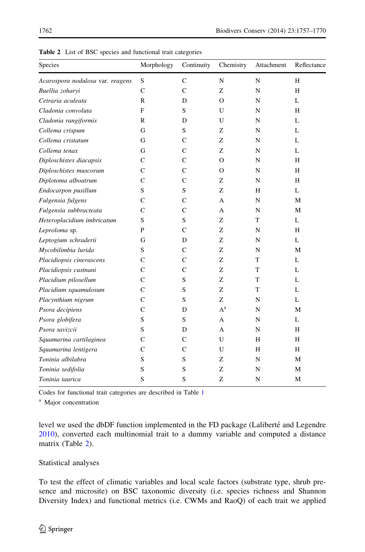| Species                          | Morphology  | Continuity   | Chemistry | Attachment | Reflectance |
|----------------------------------|-------------|--------------|-----------|------------|-------------|
| Acarospora nodulosa var. reagens | S           | $\mathbf C$  | N         | N          | H           |
| Buellia zoharyi                  | $\mathbf C$ | $\mathsf{C}$ | Z         | N          | H           |
| Cetraria aculeata                | R           | D            | $\Omega$  | N          | L           |
| Cladonia convoluta               | F           | S            | U         | N          | Н           |
| Cladonia rangiformis             | R           | D            | U         | N          | L           |
| Collema crispum                  | G           | S            | Z         | N          | L           |
| Collema cristatum                | G           | C            | Z         | N          | L           |
| Collema tenax                    | G           | $\mathbf C$  | Z         | N          | L           |
| Diploschistes diacapsis          | C           | $\mathbf C$  | $\Omega$  | N          | H           |
| Diploschistes muscorum           | C           | $\mathbf C$  | O         | N          | Н           |
| Diplotoma alboatrum              | C           | C            | Ζ         | N          | H           |
| Endocarpon pusillum              | S           | S            | Ζ         | Н          | L           |
| Fulgensia fulgens                | C           | C            | A         | N          | М           |
| Fulgensia subbracteata           | C           | $\mathsf{C}$ | A         | N          | М           |
| Heteroplacidium imbricatum       | S           | S            | Z         | T          | L           |
| Leproloma sp.                    | P           | $\mathbf C$  | Z         | N          | H           |
| Leptogium schraderii             | G           | D            | Z         | N          | L           |
| Mycobilimbia lurida              | S           | C            | Z         | N          | М           |
| Placidiopsis cinerascens         | C           | С            | Z         | T          | L           |
| Placidiopsis custnani            | C           | C            | Ζ         | T          | L           |
| Placidium pilosellum             | C           | S            | Z         | T          | L           |
| Placidium squamulosum            | C           | S            | Z         | T          | L           |
| Placynthium nigrum               | C           | S            | Z         | N          | L           |
| Psora decipiens                  | C           | D            | $A^a$     | N          | М           |
| Psora globifera                  | S           | S            | А         | N          | L           |
| Psora savizcii                   | S           | D            | A         | N          | Н           |
| Squamarina cartilaginea          | C           | C            | U         | Н          | H           |
| Squamarina lentigera             | C           | C            | U         | Н          | Н           |
| Toninia albilabra                | S           | S            | Z         | N          | М           |
| Toninia sedifolia                | S           | S            | Z         | N          | М           |
| Toninia taurica                  | S           | S            | Z         | N          | М           |

Table 2 List of BSC species and functional trait categories

Codes for functional trait categories are described in Table [1](#page-4-0)

<sup>a</sup> Major concentration

level we used the dbDF function implemented in the FD package (Laliberté and Legendre [2010\)](#page-12-0), converted each multinomial trait to a dummy variable and computed a distance matrix (Table 2).

Statistical analyses

To test the effect of climatic variables and local scale factors (substrate type, shrub presence and microsite) on BSC taxonomic diversity (i.e. species richness and Shannon Diversity Index) and functional metrics (i.e. CWMs and RaoQ) of each trait we applied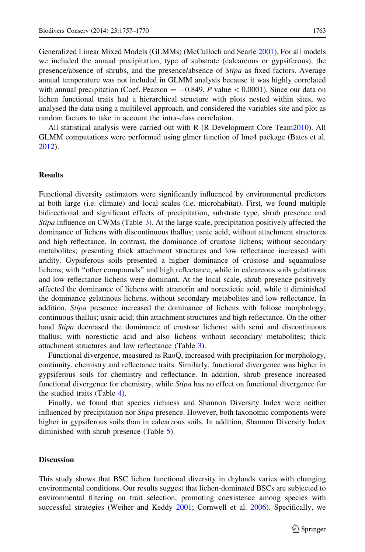Generalized Linear Mixed Models (GLMMs) (McCulloch and Searle [2001](#page-12-0)). For all models we included the annual precipitation, type of substrate (calcareous or gypsiferous), the presence/absence of shrubs, and the presence/absence of Stipa as fixed factors. Average annual temperature was not included in GLMM analysis because it was highly correlated with annual precipitation (Coef. Pearson =  $-0.849$ , P value < 0.0001). Since our data on lichen functional traits had a hierarchical structure with plots nested within sites, we analysed the data using a multilevel approach, and considered the variables site and plot as random factors to take in account the intra-class correlation.

All statistical analysis were carried out with R (R Development Core Team[2010\)](#page-13-0). All GLMM computations were performed using glmer function of lme4 package (Bates et al. [2012\)](#page-10-0).

#### Results

Functional diversity estimators were significantly influenced by environmental predictors at both large (i.e. climate) and local scales (i.e. microhabitat). First, we found multiple bidirectional and significant effects of precipitation, substrate type, shrub presence and Stipa influence on CWMs (Table [3\)](#page-7-0). At the large scale, precipitation positively affected the dominance of lichens with discontinuous thallus; usnic acid; without attachment structures and high reflectance. In contrast, the dominance of crustose lichens; without secondary metabolites; presenting thick attachment structures and low reflectance increased with aridity. Gypsiferous soils presented a higher dominance of crustose and squamulose lichens; with ''other compounds'' and high reflectance, while in calcareous soils gelatinous and low reflectance lichens were dominant. At the local scale, shrub presence positively affected the dominance of lichens with atranorin and norestictic acid, while it diminished the dominance gelatinous lichens, without secondary metabolites and low reflectance. In addition, Stipa presence increased the dominance of lichens with foliose morphology; continuous thallus; usnic acid; thin attachment structures and high reflectance. On the other hand *Stipa* decreased the dominance of crustose lichens; with semi and discontinuous thallus; with norestictic acid and also lichens without secondary metabolites; thick attachment structures and low reflectance (Table [3\)](#page-7-0).

Functional divergence, measured as RaoQ, increased with precipitation for morphology, continuity, chemistry and reflectance traits. Similarly, functional divergence was higher in gypsiferous soils for chemistry and reflectance. In addition, shrub presence increased functional divergence for chemistry, while *Stipa* has no effect on functional divergence for the studied traits (Table [4\)](#page-7-0).

Finally, we found that species richness and Shannon Diversity Index were neither influenced by precipitation nor *Stipa* presence. However, both taxonomic components were higher in gypsiferous soils than in calcareous soils. In addition, Shannon Diversity Index diminished with shrub presence (Table [5](#page-8-0)).

## **Discussion**

This study shows that BSC lichen functional diversity in drylands varies with changing environmental conditions. Our results suggest that lichen-dominated BSCs are subjected to environmental filtering on trait selection, promoting coexistence among species with successful strategies (Weiher and Keddy [2001](#page-13-0); Cornwell et al. [2006\)](#page-11-0). Specifically, we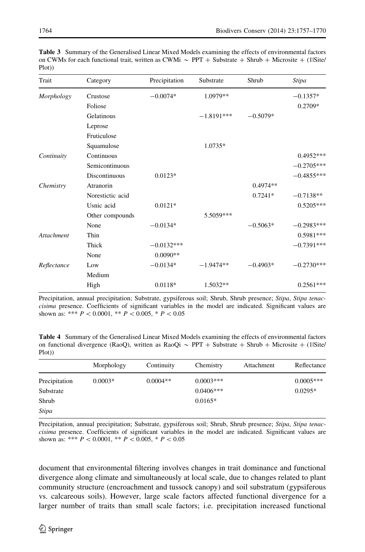| Morphology | Crustose         | $-0.0074*$   | 1.0979**     |            | $-0.1357*$   |
|------------|------------------|--------------|--------------|------------|--------------|
|            | Foliose          |              |              |            | 0.2709*      |
|            | Gelatinous       |              | $-1.8191***$ | $-0.5079*$ |              |
|            | Leprose          |              |              |            |              |
|            | Fruticulose      |              |              |            |              |
|            | Squamulose       |              | 1.0735*      |            |              |
| Continuity | Continuous       |              |              |            | $0.4952***$  |
|            | Semicontinuous   |              |              |            | $-0.2705***$ |
|            | Discontinuous    | $0.0123*$    |              |            | $-0.4855***$ |
| Chemistry  | Atranorin        |              |              | $0.4974**$ |              |
|            | Norestictic acid |              |              | $0.7241*$  | $-0.7138**$  |
|            | Usnic acid       | $0.0121*$    |              |            | $0.5205***$  |
|            | Other compounds  |              | 5.5059***    |            |              |
|            | None             | $-0.0134*$   |              | $-0.5063*$ | $-0.2983***$ |
| Attachment | Thin             |              |              |            | $0.5981***$  |
|            | Thick            | $-0.0132***$ |              |            | $-0.7391***$ |
|            | None             | $0.0090**$   |              |            |              |

<span id="page-7-0"></span>Table 3 Summary of the Generalised Linear Mixed Models examining the effects of environmental factors on CWMs for each functional trait, written as CWMi  $\sim$  PPT + Substrate + Shrub + Microsite + (1|Site/ Plot))

Trait Category Precipitation Substrate Shrub Stipa

Precipitation, annual precipitation; Substrate, gypsiferous soil; Shrub, Shrub presence; Stipa, Stipa tenaccisima presence. Coefficients of significant variables in the model are indicated. Significant values are shown as: \*\*\*  $P \lt 0.0001$ , \*\*  $P \lt 0.005$ , \*  $P \lt 0.05$ 

High 0.0118\* 1.5032\*\* 0.2561\*\*\*

 $Reflexance$  Low  $-0.0134*$   $-1.9474**$   $-0.4903*$   $-0.2730***$ 

Medium

Table 4 Summary of the Generalised Linear Mixed Models examining the effects of environmental factors on functional divergence (RaoQ), written as RaoQi  $\sim$  PPT + Substrate + Shrub + Microsite + (1|Site/ Plot))

|               | Morphology | Continuity | Chemistry   | Attachment | Reflectance |
|---------------|------------|------------|-------------|------------|-------------|
| Precipitation | $0.0003*$  | $0.0004**$ | $0.0003***$ |            | $0.0005***$ |
| Substrate     |            |            | $0.0406***$ |            | $0.0295*$   |
| Shrub         |            |            | $0.0165*$   |            |             |
| Stipa         |            |            |             |            |             |

Precipitation, annual precipitation; Substrate, gypsiferous soil; Shrub, Shrub presence; Stipa, Stipa tenaccisima presence. Coefficients of significant variables in the model are indicated. Significant values are shown as: \*\*\*  $P \lt 0.0001$ , \*\*  $P \lt 0.005$ , \*  $P \lt 0.05$ 

document that environmental filtering involves changes in trait dominance and functional divergence along climate and simultaneously at local scale, due to changes related to plant community structure (encroachment and tussock canopy) and soil substratum (gypsiferous vs. calcareous soils). However, large scale factors affected functional divergence for a larger number of traits than small scale factors; i.e. precipitation increased functional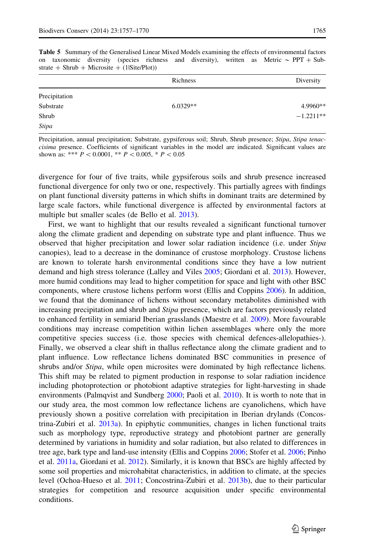|               | Richness   | Diversity   |
|---------------|------------|-------------|
| Precipitation |            |             |
| Substrate     | $6.0329**$ | 4.9960**    |
| Shrub         |            | $-1.2211**$ |
| Stipa         |            |             |

<span id="page-8-0"></span>Table 5 Summary of the Generalised Linear Mixed Models examining the effects of environmental factors on taxonomic diversity (species richness and diversity), written as Metric  $\sim$  PPT + Sub $strate + Shrub + Microsite + (1|Site/Plot)$ 

Precipitation, annual precipitation; Substrate, gypsiferous soil; Shrub, Shrub presence; Stipa, Stipa tenaccisima presence. Coefficients of significant variables in the model are indicated. Significant values are shown as: \*\*\*  $P \lt 0.0001$ , \*\*  $P \lt 0.005$ , \*  $P \lt 0.05$ 

divergence for four of five traits, while gypsiferous soils and shrub presence increased functional divergence for only two or one, respectively. This partially agrees with findings on plant functional diversity patterns in which shifts in dominant traits are determined by large scale factors, while functional divergence is affected by environmental factors at multiple but smaller scales (de Bello et al. [2013](#page-11-0)).

First, we want to highlight that our results revealed a significant functional turnover along the climate gradient and depending on substrate type and plant influence. Thus we observed that higher precipitation and lower solar radiation incidence (i.e. under Stipa canopies), lead to a decrease in the dominance of crustose morphology. Crustose lichens are known to tolerate harsh environmental conditions since they have a low nutrient demand and high stress tolerance (Lalley and Viles [2005](#page-12-0); Giordani et al. [2013](#page-11-0)). However, more humid conditions may lead to higher competition for space and light with other BSC components, where crustose lichens perform worst (Ellis and Coppins [2006\)](#page-11-0). In addition, we found that the dominance of lichens without secondary metabolites diminished with increasing precipitation and shrub and Stipa presence, which are factors previously related to enhanced fertility in semiarid Iberian grasslands (Maestre et al. [2009\)](#page-12-0). More favourable conditions may increase competition within lichen assemblages where only the more competitive species success (i.e. those species with chemical defences-allelopathies-). Finally, we observed a clear shift in thallus reflectance along the climate gradient and to plant influence. Low reflectance lichens dominated BSC communities in presence of shrubs and/or Stipa, while open microsites were dominated by high reflectance lichens. This shift may be related to pigment production in response to solar radiation incidence including photoprotection or photobiont adaptive strategies for light-harvesting in shade environments (Palmqvist and Sundberg [2000;](#page-12-0) Paoli et al. [2010\)](#page-12-0). It is worth to note that in our study area, the most common low reflectance lichens are cyanolichens, which have previously shown a positive correlation with precipitation in Iberian drylands (Concostrina-Zubiri et al. [2013a](#page-10-0)). In epiphytic communities, changes in lichen functional traits such as morphology type, reproductive strategy and photobiont partner are generally determined by variations in humidity and solar radiation, but also related to differences in tree age, bark type and land-use intensity (Ellis and Coppins [2006;](#page-11-0) Stofer et al. [2006;](#page-13-0) Pinho et al. [2011a](#page-12-0), Giordani et al. [2012](#page-11-0)). Similarly, it is known that BSCs are highly affected by some soil properties and microhabitat characteristics, in addition to climate, at the species level (Ochoa-Hueso et al. [2011](#page-12-0); Concostrina-Zubiri et al. [2013b](#page-11-0)), due to their particular strategies for competition and resource acquisition under specific environmental conditions.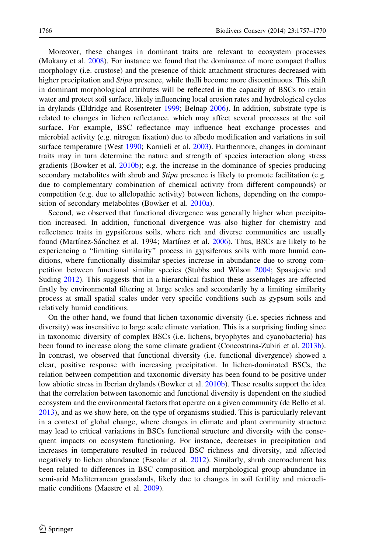Moreover, these changes in dominant traits are relevant to ecosystem processes (Mokany et al. [2008](#page-12-0)). For instance we found that the dominance of more compact thallus morphology (i.e. crustose) and the presence of thick attachment structures decreased with higher precipitation and *Stipa* presence, while thalli become more discontinuous. This shift in dominant morphological attributes will be reflected in the capacity of BSCs to retain water and protect soil surface, likely influencing local erosion rates and hydrological cycles in drylands (Eldridge and Rosentreter [1999](#page-11-0); Belnap [2006\)](#page-10-0). In addition, substrate type is related to changes in lichen reflectance, which may affect several processes at the soil surface. For example, BSC reflectance may influence heat exchange processes and microbial activity (e.g. nitrogen fixation) due to albedo modification and variations in soil surface temperature (West [1990](#page-13-0); Karnieli et al. [2003](#page-12-0)). Furthermore, changes in dominant traits may in turn determine the nature and strength of species interaction along stress gradients (Bowker et al. [2010b](#page-10-0)); e.g. the increase in the dominance of species producing secondary metabolites with shrub and *Stipa* presence is likely to promote facilitation (e.g. due to complementary combination of chemical activity from different compounds) or competition (e.g. due to allelopathic activity) between lichens, depending on the composition of secondary metabolites (Bowker et al. [2010a\)](#page-10-0).

Second, we observed that functional divergence was generally higher when precipitation increased. In addition, functional divergence was also higher for chemistry and reflectance traits in gypsiferous soils, where rich and diverse communities are usually found (Martínez-Sánchez et al. 1994; Martínez et al. [2006\)](#page-12-0). Thus, BSCs are likely to be experiencing a ''limiting similarity'' process in gypsiferous soils with more humid conditions, where functionally dissimilar species increase in abundance due to strong competition between functional similar species (Stubbs and Wilson [2004;](#page-13-0) Spasojevic and Suding [2012\)](#page-13-0). This suggests that in a hierarchical fashion these assemblages are affected firstly by environmental filtering at large scales and secondarily by a limiting similarity process at small spatial scales under very specific conditions such as gypsum soils and relatively humid conditions.

On the other hand, we found that lichen taxonomic diversity (i.e. species richness and diversity) was insensitive to large scale climate variation. This is a surprising finding since in taxonomic diversity of complex BSCs (i.e. lichens, bryophytes and cyanobacteria) has been found to increase along the same climate gradient (Concostrina-Zubiri et al. [2013b](#page-11-0)). In contrast, we observed that functional diversity (i.e. functional divergence) showed a clear, positive response with increasing precipitation. In lichen-dominated BSCs, the relation between competition and taxonomic diversity has been found to be positive under low abiotic stress in Iberian drylands (Bowker et al. [2010b\)](#page-10-0). These results support the idea that the correlation between taxonomic and functional diversity is dependent on the studied ecosystem and the environmental factors that operate on a given community (de Bello et al. [2013\)](#page-11-0), and as we show here, on the type of organisms studied. This is particularly relevant in a context of global change, where changes in climate and plant community structure may lead to critical variations in BSCs functional structure and diversity with the consequent impacts on ecosystem functioning. For instance, decreases in precipitation and increases in temperature resulted in reduced BSC richness and diversity, and affected negatively to lichen abundance (Escolar et al. [2012\)](#page-11-0). Similarly, shrub encroachment has been related to differences in BSC composition and morphological group abundance in semi-arid Mediterranean grasslands, likely due to changes in soil fertility and microclimatic conditions (Maestre et al. [2009](#page-12-0)).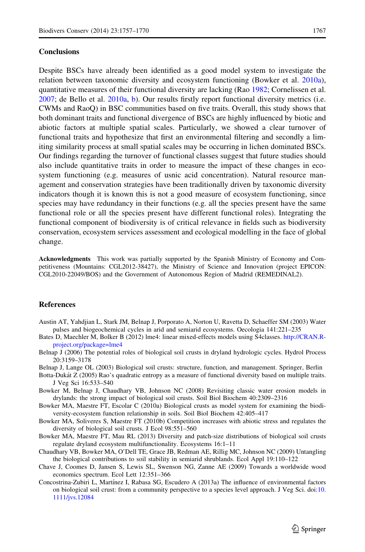<span id="page-10-0"></span>Despite BSCs have already been identified as a good model system to investigate the relation between taxonomic diversity and ecosystem functioning (Bowker et al. 2010a), quantitative measures of their functional diversity are lacking (Rao [1982](#page-13-0); Cornelissen et al. [2007;](#page-11-0) de Bello et al. [2010a,](#page-11-0) [b](#page-11-0)). Our results firstly report functional diversity metrics (i.e. CWMs and RaoQ) in BSC communities based on five traits. Overall, this study shows that both dominant traits and functional divergence of BSCs are highly influenced by biotic and abiotic factors at multiple spatial scales. Particularly, we showed a clear turnover of functional traits and hypothesize that first an environmental filtering and secondly a limiting similarity process at small spatial scales may be occurring in lichen dominated BSCs. Our findings regarding the turnover of functional classes suggest that future studies should also include quantitative traits in order to measure the impact of these changes in ecosystem functioning (e.g. measures of usnic acid concentration). Natural resource management and conservation strategies have been traditionally driven by taxonomic diversity indicators though it is known this is not a good measure of ecosystem functioning, since species may have redundancy in their functions (e.g. all the species present have the same functional role or all the species present have different functional roles). Integrating the functional component of biodiversity is of critical relevance in fields such as biodiversity conservation, ecosystem services assessment and ecological modelling in the face of global change.

Acknowledgments This work was partially supported by the Spanish Ministry of Economy and Competitiveness (Mountains: CGL2012-38427), the Ministry of Science and Innovation (project EPICON: CGL2010-22049/BOS) and the Government of Autonomous Region of Madrid (REMEDINAL2).

## References

- Austin AT, Yahdjian L, Stark JM, Belnap J, Porporato A, Norton U, Ravetta D, Schaeffer SM (2003) Water pulses and biogeochemical cycles in arid and semiarid ecosystems. Oecologia 141:221–235
- Bates D, Maechler M, Bolker B (2012) lme4: linear mixed-effects models using S4classes. [http://CRAN.R](http://CRAN.R-project.org/package=lme4)[project.org/package=lme4](http://CRAN.R-project.org/package=lme4)
- Belnap J (2006) The potential roles of biological soil crusts in dryland hydrologic cycles. Hydrol Process 20:3159–3178
- Belnap J, Lange OL (2003) Biological soil crusts: structure, function, and management. Springer, Berlin
- Botta-Dukát Z (2005) Rao's quadratic entropy as a measure of functional diversity based on multiple traits. J Veg Sci 16:533–540
- Bowker M, Belnap J, Chaudhary VB, Johnson NC (2008) Revisiting classic water erosion models in drylands: the strong impact of biological soil crusts. Soil Biol Biochem 40:2309–2316
- Bowker MA, Maestre FT, Escolar C (2010a) Biological crusts as model system for examining the biodiversity-ecosystem function relationship in soils. Soil Biol Biochem 42:405–417
- Bowker MA, Soliveres S, Maestre FT (2010b) Competition increases with abiotic stress and regulates the diversity of biological soil crusts. J Ecol 98:551–560
- Bowker MA, Maestre FT, Mau RL (2013) Diversity and patch-size distributions of biological soil crusts regulate dryland ecosystem multifunctionality. Ecosystems 16:1–11
- Chaudhary VB, Bowker MA, O'Dell TE, Grace JB, Redman AE, Rillig MC, Johnson NC (2009) Untangling the biological contributions to soil stability in semiarid shrublands. Ecol Appl 19:110–122
- Chave J, Coomes D, Jansen S, Lewis SL, Swenson NG, Zanne AE (2009) Towards a worldwide wood economics spectrum. Ecol Lett 12:351–366
- Concostrina-Zubiri L, Martínez I, Rabasa SG, Escudero A (2013a) The influence of environmental factors on biological soil crust: from a community perspective to a species level approach. J Veg Sci. doi:[10.](http://dx.doi.org/10.1111/jvs.12084) [1111/jvs.12084](http://dx.doi.org/10.1111/jvs.12084)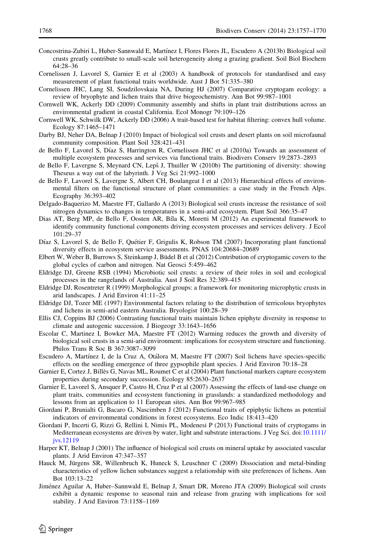- <span id="page-11-0"></span>Concostrina-Zubiri L, Huber-Sannwald E, Martínez I, Flores Flores JL, Escudero A (2013b) Biological soil crusts greatly contribute to small-scale soil heterogeneity along a grazing gradient. Soil Biol Biochem 64:28–36
- Cornelissen J, Lavorel S, Garnier E et al (2003) A handbook of protocols for standardised and easy measurement of plant functional traits worldwide. Aust J Bot 51:335–380
- Cornelissen JHC, Lang SI, Soudzilovskaia NA, During HJ (2007) Comparative cryptogam ecology: a review of bryophyte and lichen traits that drive biogeochemistry. Ann Bot 99:987–1001
- Cornwell WK, Ackerly DD (2009) Community assembly and shifts in plant trait distributions across an environmental gradient in coastal California. Ecol Monogr 79:109–126
- Cornwell WK, Schwilk DW, Ackerly DD (2006) A trait-based test for habitat filtering: convex hull volume. Ecology 87:1465–1471
- Darby BJ, Neher DA, Belnap J (2010) Impact of biological soil crusts and desert plants on soil microfaunal community composition. Plant Soil 328:421–431
- de Bello F, Lavorel S, Díaz S, Harrington R, Cornelissen JHC et al (2010a) Towards an assessment of multiple ecosystem processes and services via functional traits. Biodivers Conserv 19:2873–2893
- de Bello F, Lavergne S, Meynard CN, Lepš J, Thuiller W (2010b) The partitioning of diversity: showing Theseus a way out of the labyrinth. J Veg Sci 21:992–1000
- de Bello F, Lavorel S, Lavergne S, Albert CH, Boulangeat I et al (2013) Hierarchical effects of environmental filters on the functional structure of plant communities: a case study in the French Alps. Ecography 36:393–402
- Delgado-Baquerizo M, Maestre FT, Gallardo A (2013) Biological soil crusts increase the resistance of soil nitrogen dynamics to changes in temperatures in a semi-arid ecosystem. Plant Soil 366:35–47
- Dias AT, Berg MP, de Bello F, Oosten AR, Bíla K, Moretti M (2012) An experimental framework to identify community functional components driving ecosystem processes and services delivery. J Ecol 101:29–37
- Díaz S, Lavorel S, de Bello F, Quétier F, Grigulis K, Robson TM (2007) Incorporating plant functional diversity effects in ecosystem service assessments. PNAS 104:20684–20689
- Elbert W, Weber B, Burrows S, Steinkamp J, Büdel B et al (2012) Contribution of cryptogamic covers to the global cycles of carbon and nitrogen. Nat Geosci 5:459–462
- Eldridge DJ, Greene RSB (1994) Microbiotic soil crusts: a review of their roles in soil and ecological processes in the rangelands of Australia. Aust J Soil Res 32:389–415
- Eldridge DJ, Rosentreter R (1999) Morphological groups: a framework for monitoring microphytic crusts in arid landscapes. J Arid Environ 41:11–25
- Eldridge DJ, Tozer ME (1997) Environmental factors relating to the distribution of terricolous bryophytes and lichens in semi-arid eastern Australia. Bryologist 100:28–39
- Ellis CJ, Coppins BJ (2006) Contrasting functional traits maintain lichen epiphyte diversity in response to climate and autogenic succession. J Biogeogr 33:1643–1656
- Escolar C, Martinez I, Bowker MA, Maestre FT (2012) Warming reduces the growth and diversity of biological soil crusts in a semi-arid environment: implications for ecosystem structure and functioning. Philos Trans R Soc B 367:3087–3099
- Escudero A, Martínez I, de la Cruz A, Otálora M, Maestre FT (2007) Soil lichens have species-specific effects on the seedling emergence of three gypsophile plant species. J Arid Environ 70:18–28
- Garnier E, Cortez J, Billès G, Navas ML, Roumet C et al (2004) Plant functional markers capture ecosystem properties during secondary succession. Ecology 85:2630–2637
- Garnier E, Lavorel S, Ansquer P, Castro H, Cruz P et al (2007) Assessing the effects of land-use change on plant traits, communities and ecosystem functioning in grasslands: a standardized methodology and lessons from an application to 11 European sites. Ann Bot 99:967–985
- Giordani P, Brunialti G, Bacaro G, Nascimben J (2012) Functional traits of epiphytic lichens as potential indicators of environmental conditions in forest ecosystems. Eco Indic 18:413–420
- Giordani P, Incerti G, Rizzi G, Rellini I, Nimis PL, Modenesi P (2013) Functional traits of cryptogams in Mediterranean ecosystems are driven by water, light and substrate interactions. J Veg Sci. doi:[10.1111/](http://dx.doi.org/10.1111/jvs.12119) [jvs.12119](http://dx.doi.org/10.1111/jvs.12119)
- Harper KT, Belnap J (2001) The influence of biological soil crusts on mineral uptake by associated vascular plants. J Arid Environ 47:347–357
- Hauck M, Jürgens SR, Willenbruch K, Huneck S, Leuschner C (2009) Dissociation and metal-binding characteristics of yellow lichen substances suggest a relationship with site preferences of lichens. Ann Bot 103:13–22
- Jiménez Aguilar A, Huber–Sannwald E, Belnap J, Smart DR, Moreno JTA (2009) Biological soil crusts exhibit a dynamic response to seasonal rain and release from grazing with implications for soil stability. J Arid Environ 73:1158–1169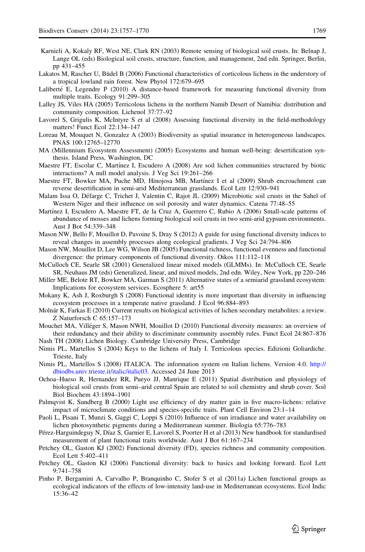- <span id="page-12-0"></span>Karnieli A, Kokaly RF, West NE, Clark RN (2003) Remote sensing of biological soil crusts. In: Belnap J, Lange OL (eds) Biological soil crusts, structure, function, and management, 2nd edn. Springer, Berlin, pp 431–455
- Lakatos M, Rascher U, Büdel B (2006) Functional characteristics of corticolous lichens in the understory of a tropical lowland rain forest. New Phytol 172:679–695
- Laliberté E, Legendre P (2010) A distance-based framework for measuring functional diversity from multiple traits. Ecology 91:299–305
- Lalley JS, Viles HA (2005) Terricolous lichens in the northern Namib Desert of Namibia: distribution and community composition. Lichenol 37:77–92
- Lavorel S, Grigulis K, McIntyre S et al (2008) Assessing functional diversity in the field-methodology matters! Funct Ecol 22:134–147
- Loreau M, Mouquet N, Gonzalez A (2003) Biodiversity as spatial insurance in heterogeneous landscapes. PNAS 100:12765–12770
- MA (Millennium Ecosystem Assessment) (2005) Ecosystems and human well-being: desertification synthesis. Island Press, Washington, DC
- Maestre FT, Escolar C, Martínez I, Escudero A (2008) Are soil lichen communities structured by biotic interactions? A null model analysis. J Veg Sci 19:261–266
- Maestre FT, Bowker MA, Puche MD, Hinojosa MB, Martínez I et al (2009) Shrub encroachment can reverse desertification in semi-arid Mediterranean grasslands. Ecol Lett 12:930–941
- Malam Issa O, De´farge C, Trichet J, Valentin C, Rajot JL (2009) Microbiotic soil crusts in the Sahel of Western Niger and their influence on soil porosity and water dynamics. Catena 77:48–55
- Martínez I, Escudero A, Maestre FT, de la Cruz A, Guerrero C, Rubio A (2006) Small-scale patterns of abundance of mosses and lichens forming biological soil crusts in two semi-arid gypsum environments. Aust J Bot 54:339–348
- Mason NW, Bello F, Mouillot D, Pavoine S, Dray S (2012) A guide for using functional diversity indices to reveal changes in assembly processes along ecological gradients. J Veg Sci 24:794–806
- Mason NW, Mouillot D, Lee WG, Wilson JB (2005) Functional richness, functional evenness and functional divergence: the primary components of functional diversity. Oikos 111:112–118
- McCulloch CE, Searle SR (2001) Generalized linear mixed models (GLMMs). In: McCulloch CE, Searle SR, Neuhaus JM (eds) Generalized, linear, and mixed models, 2nd edn. Wiley, New York, pp 220–246
- Miller ME, Belote RT, Bowker MA, Garman S (2011) Alternative states of a semiarid grassland ecosystem: Implications for ecosystem services. Ecosphere 5: art55
- Mokany K, Ash J, Roxburgh S (2008) Functional identity is more important than diversity in influencing ecosystem processes in a temperate native grassland. J Ecol 96:884–893
- Molnár K, Farkas E (2010) Current results on biological activities of lichen secondary metabolites: a review. Z Naturforsch C 65:157–173
- Mouchet MA, Villéger S, Mason NWH, Mouillot D (2010) Functional diversity measures: an overview of their redundancy and their ability to discriminate community assembly rules. Funct Ecol 24:867–876 Nash TH (2008) Lichen Biology. Cambridge University Press, Cambridge
- Nimis PL, Martellos S (2004) Keys to the lichens of Italy I. Terricolous species. Edizioni Goliardiche. Trieste, Italy
- Nimis PL, Martellos S (2008) ITALICA. The information system on Italian lichens. Version 4.0. [http://](http://dbiodbs.univ.trieste.it/italic/italic03) [dbiodbs.univ.trieste.it/italic/italic03.](http://dbiodbs.univ.trieste.it/italic/italic03) Accessed 24 June 2013
- Ochoa–Hueso R, Hernandez RR, Pueyo JJ, Manrique E (2011) Spatial distribution and physiology of biological soil crusts from semi–arid central Spain are related to soil chemistry and shrub cover. Soil Biol Biochem 43:1894–1901
- Palmqvist K, Sundberg B (2000) Light use efficiency of dry matter gain in five macro-lichens: relative impact of microclimate conditions and species-specific traits. Plant Cell Environ 23:1–14
- Paoli L, Pisani T, Munzi S, Gaggi C, Loppi S (2010) Influence of sun irradiance and water availability on lichen photosynthetic pigments during a Mediterranean summer. Biologia 65:776–783
- Pérez-Harguindeguy N, Díaz S, Garnier E, Lavorel S, Poorter H et al (2013) New handbook for standardised measurement of plant functional traits worldwide. Aust J Bot 61:167–234
- Petchey OL, Gaston KJ (2002) Functional diversity (FD), species richness and community composition. Ecol Lett 5:402–411
- Petchey OL, Gaston KJ (2006) Functional diversity: back to basics and looking forward. Ecol Lett 9:741–758
- Pinho P, Bergamini A, Carvalho P, Branquinho C, Stofer S et al (2011a) Lichen functional groups as ecological indicators of the effects of low-intensity land-use in Mediterranean ecosystems. Ecol Indic 15:36–42